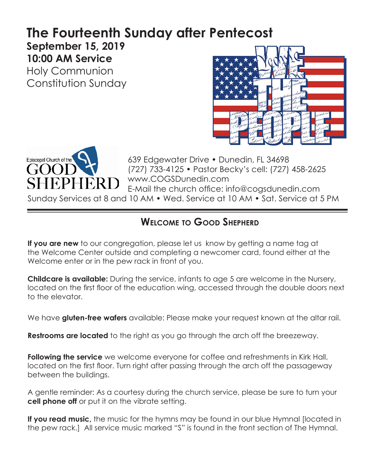# **The Fourteenth Sunday after Pentecost September 15, 2019**

# **10:00 AM Service**

Holy Communion Constitution Sunday





639 Edgewater Drive • Dunedin, FL 34698 (727) 733-4125 • Pastor Becky's cell: (727) 458-2625 www.COGSDunedin.com E-Mail the church office: info@cogsdunedin.com

Sunday Services at 8 and 10 AM • Wed. Service at 10 AM • Sat. Service at 5 PM

## **Welcome to Good Shepherd**

**If you are new** to our congregation, please let us know by getting a name tag at the Welcome Center outside and completing a newcomer card, found either at the Welcome enter or in the pew rack in front of you.

**Childcare is available:** During the service, infants to age 5 are welcome in the Nursery, located on the first floor of the education wing, accessed through the double doors next to the elevator.

We have **gluten-free wafers** available: Please make your request known at the altar rail.

**Restrooms are located** to the right as you go through the arch off the breezeway.

**Following the service** we welcome everyone for coffee and refreshments in Kirk Hall, located on the first floor. Turn right after passing through the arch off the passageway between the buildings.

A gentle reminder: As a courtesy during the church service, please be sure to turn your **cell phone off** or put it on the vibrate setting.

**If you read music,** the music for the hymns may be found in our blue Hymnal [located in the pew rack.] All service music marked "S" is found in the front section of The Hymnal.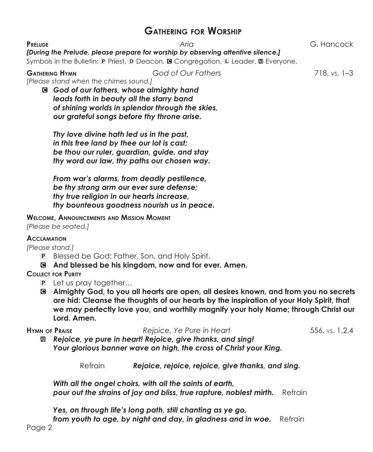## **Gathering for Worship**

Page 2

## **Prelude** *Aria* G. Hancock

*[During the Prelude, please prepare for worship by observing attentive silence.]*

Symbols in the Bulletin: **P** Priest, **D** Deacon, **G** Congregation, L Leader, **M** Everyone.

**Gathering Hymn** *God of Our Fathers* 718, vs. 1–3

*[Please stand when the chimes sound.]*

C *God of our fathers, whose almighty hand leads forth in beauty all the starry band of shining worlds in splendor through the skies, our grateful songs before thy throne arise.*

*Thy love divine hath led us in the past, in this free land by thee our lot is cast; be thou our ruler, guardian, guide, and stay thy word our law, thy paths our chosen way.*

*From war's alarms, from deadly pestilence, be thy strong arm our ever sure defense; thy true religion in our hearts increase, thy bounteous goodness nourish us in peace.*

**Welcome, Announcements and Mission Moment** *[Please be seated.]*

### **Acclamation**

*[Please stand.]*

- P Blessed be God: Father, Son, and Holy Spirit.
- C **And blessed be his kingdom, now and for ever. Amen.**

## **Collect for Purity**

- P Let us pray together…
- C **Almighty God, to you all hearts are open, all desires known, and from you no secrets are hid: Cleanse the thoughts of our hearts by the inspiration of your Holy Spirit, that we may perfectly love you, and worthily magnify your holy Name; through Christ our Lord. Amen.**

**Hymn of Praise** *Rejoice, Ye Pure in Heart* 556, vs. 1,2,4

a *Rejoice, ye pure in heart! Rejoice, give thanks, and sing! Your glorious banner wave on high, the cross of Christ your King.*

**Refrain Rejoice, rejoice, rejoice, give thanks, and sing.** 

*With all the angel choirs, with all the saints of earth, pour out the strains of joy and bliss, true rapture, noblest mirth.* Refrain

*Yes, on through life's long path, still chanting as ye go,* from youth to age, by night and day, in gladness and in woe. Refrain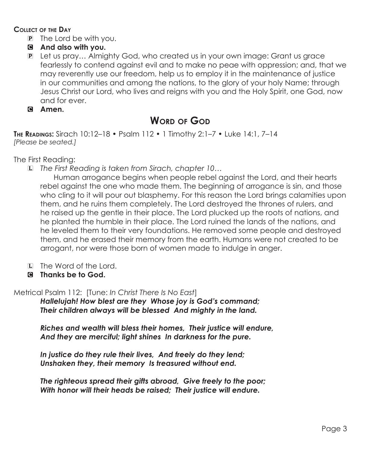## **Collect of the Day**

- P The Lord be with you.
- C **And also with you.**
- P Let us pray… Almighty God, who created us in your own image: Grant us grace fearlessly to contend against evil and to make no peae with oppression; and, that we may reverently use our freedom, help us to employ it in the maintenance of justice in our communities and among the nations, to the glory of your holy Name; through Jesus Christ our Lord, who lives and reigns with you and the Holy Spirit, one God, now and for ever.
- C **Amen.**

## **WORD OF GOD**

**The Readings:** Sirach 10:12–18 • Psalm 112 • 1 Timothy 2:1–7 • Luke 14:1, 7–14 *[Please be seated.]*

The First Reading:

L *The First Reading is taken from Sirach, chapter 10…*

 Human arrogance begins when people rebel against the Lord, and their hearts rebel against the one who made them. The beginning of arrogance is sin, and those who cling to it will pour out blasphemy. For this reason the Lord brings calamities upon them, and he ruins them completely. The Lord destroyed the thrones of rulers, and he raised up the gentle in their place. The Lord plucked up the roots of nations, and he planted the humble in their place. The Lord ruined the lands of the nations, and he leveled them to their very foundations. He removed some people and destroyed them, and he erased their memory from the earth. Humans were not created to be arrogant, nor were those born of women made to indulge in anger.

- L The Word of the Lord.
- C **Thanks be to God.**

Metrical Psalm 112: [Tune: *In Christ There Is No East*]

*Hallelujah! How blest are they Whose joy is God's command; Their children always will be blessed And mighty in the land.*

*Riches and wealth will bless their homes, Their justice will endure, And they are merciful; light shines In darkness for the pure.*

*In justice do they rule their lives, And freely do they lend; Unshaken they, their memory Is treasured without end.*

*The righteous spread their gifts abroad, Give freely to the poor; With honor will their heads be raised; Their justice will endure.*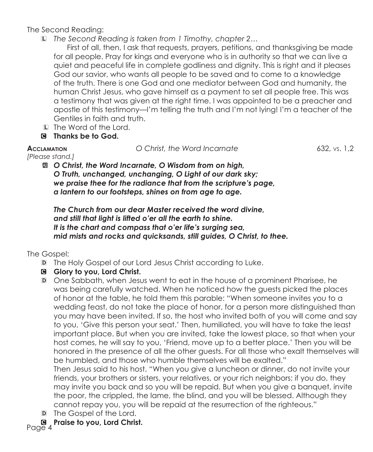The Second Reading:

L *The Second Reading is taken from 1 Timothy, chapter 2…*

 First of all, then, I ask that requests, prayers, petitions, and thanksgiving be made for all people. Pray for kings and everyone who is in authority so that we can live a quiet and peaceful life in complete godliness and dignity. This is right and it pleases God our savior, who wants all people to be saved and to come to a knowledge of the truth. There is one God and one mediator between God and humanity, the human Christ Jesus, who gave himself as a payment to set all people free. This was a testimony that was given at the right time. I was appointed to be a preacher and apostle of this testimony—I'm telling the truth and I'm not lying! I'm a teacher of the Gentiles in faith and truth.

- L The Word of the Lord.
- C **Thanks be to God.**

**Acclamation** *O Christ, the Word Incarnate* 632, vs. 1,2

*[Please stand.]*

a *O Christ, the Word Incarnate, O Wisdom from on high, O Truth, unchanged, unchanging, O Light of our dark sky; we praise thee for the radiance that from the scripture's page, a lantern to our footsteps, shines on from age to age.*

*The Church from our dear Master received the word divine, and still that light is lifted o'er all the earth to shine. It is the chart and compass that o'er life's surging sea, mid mists and rocks and quicksands, still guides, O Christ, to thee.*

The Gospel:

- D The Holy Gospel of our Lord Jesus Christ according to Luke.
- C **Glory to you, Lord Christ.**
- D One Sabbath, when Jesus went to eat in the house of a prominent Pharisee, he was being carefully watched. When he noticed how the guests picked the places of honor at the table, he told them this parable: "When someone invites you to a wedding feast, do not take the place of honor, for a person more distinguished than you may have been invited. If so, the host who invited both of you will come and say to you, 'Give this person your seat.' Then, humiliated, you will have to take the least important place. But when you are invited, take the lowest place, so that when your host comes, he will say to you, 'Friend, move up to a better place.' Then you will be honored in the presence of all the other guests. For all those who exalt themselves will be humbled, and those who humble themselves will be exalted."

Then Jesus said to his host, "When you give a luncheon or dinner, do not invite your friends, your brothers or sisters, your relatives, or your rich neighbors; if you do, they may invite you back and so you will be repaid. But when you give a banquet, invite the poor, the crippled, the lame, the blind, and you will be blessed. Although they cannot repay you, you will be repaid at the resurrection of the righteous."

D The Gospel of the Lord.

# Page 4 C **Praise to you, Lord Christ.**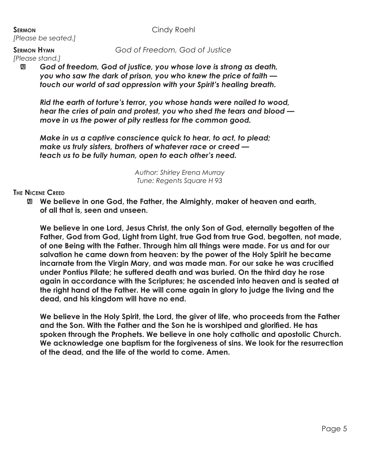**SERMON** Cindy Roehl *[Please be seated.]*

**Sermon Hymn** *God of Freedom, God of Justice*

*[Please stand.]* 

 $\mathbf{M}$  **God of freedom, God of justice, you whose love is strong as death,** *you who saw the dark of prison, you who knew the price of faith touch our world of sad oppression with your Spirit's healing breath.*

*Rid the earth of torture's terror, you whose hands were nailed to wood, hear the cries of pain and protest, you who shed the tears and blood move in us the power of pity restless for the common good.*

*Make in us a captive conscience quick to hear, to act, to plead; make us truly sisters, brothers of whatever race or creed teach us to be fully human, open to each other's need.*

> *Author: Shirley Erena Murray Tune: Regents Square H 93*

## **The Nicene Creed**

a **We believe in one God, the Father, the Almighty, maker of heaven and earth, of all that is, seen and unseen.**

 **We believe in one Lord, Jesus Christ, the only Son of God, eternally begotten of the Father, God from God, Light from Light, true God from true God, begotten, not made, of one Being with the Father. Through him all things were made. For us and for our salvation he came down from heaven: by the power of the Holy Spirit he became incarnate from the Virgin Mary, and was made man. For our sake he was crucified under Pontius Pilate; he suffered death and was buried. On the third day he rose again in accordance with the Scriptures; he ascended into heaven and is seated at the right hand of the Father. He will come again in glory to judge the living and the dead, and his kingdom will have no end.**

 **We believe in the Holy Spirit, the Lord, the giver of life, who proceeds from the Father and the Son. With the Father and the Son he is worshiped and glorified. He has spoken through the Prophets. We believe in one holy catholic and apostolic Church. We acknowledge one baptism for the forgiveness of sins. We look for the resurrection of the dead, and the life of the world to come. Amen.**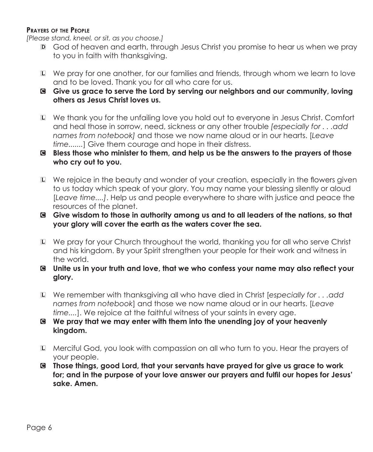## **Prayers of the People**

*[Please stand, kneel, or sit, as you choose.]*

- D God of heaven and earth, through Jesus Christ you promise to hear us when we pray to you in faith with thanksgiving.
- L We pray for one another, for our families and friends, through whom we learn to love and to be loved. Thank you for all who care for us.
- C **Give us grace to serve the Lord by serving our neighbors and our community, loving others as Jesus Christ loves us.**
- L We thank you for the unfailing love you hold out to everyone in Jesus Christ. Comfort and heal those in sorrow, need, sickness or any other trouble *[especially for . . .add names from notebook]* and those we now name aloud or in our hearts. [*Leave time.......*] Give them courage and hope in their distress.
- C **Bless those who minister to them, and help us be the answers to the prayers of those who cry out to you.**
- L We rejoice in the beauty and wonder of your creation, especially in the flowers given to us today which speak of your glory. You may name your blessing silently or aloud [*Leave time....]*. Help us and people everywhere to share with justice and peace the resources of the planet.
- C **Give wisdom to those in authority among us and to all leaders of the nations, so that your glory will cover the earth as the waters cover the sea.**
- L We pray for your Church throughout the world, thanking you for all who serve Christ and his kingdom. By your Spirit strengthen your people for their work and witness in the world.
- C **Unite us in your truth and love, that we who confess your name may also reflect your glory.**
- L We remember with thanksgiving all who have died in Christ [*especially for . . .add names from notebook*] and those we now name aloud or in our hearts. [*Leave time....*]. We rejoice at the faithful witness of your saints in every age.
- C **We pray that we may enter with them into the unending joy of your heavenly kingdom.**
- L Merciful God, you look with compassion on all who turn to you. Hear the prayers of your people.
- C **Those things, good Lord, that your servants have prayed for give us grace to work for; and in the purpose of your love answer our prayers and fulfil our hopes for Jesus' sake. Amen.**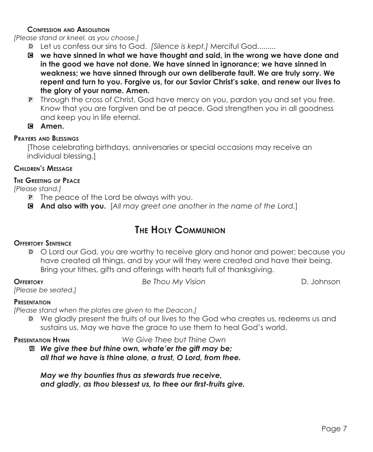## **Confession and Absolution**

*[Please stand or kneel, as you choose.]*

- D Let us confess our sins to God. *[Silence is kept.]* Merciful God.........
- C **we have sinned in what we have thought and said, in the wrong we have done and in the good we have not done. We have sinned in ignorance; we have sinned in weakness; we have sinned through our own deliberate fault. We are truly sorry. We repent and turn to you. Forgive us, for our Savior Christ's sake, and renew our lives to the glory of your name. Amen.**
- P Through the cross of Christ, God have mercy on you, pardon you and set you free. Know that you are forgiven and be at peace. God strengthen you in all goodness and keep you in life eternal.

C **Amen.**

## **Prayers and Blessings**

[Those celebrating birthdays, anniversaries or special occasions may receive an individual blessing.]

## **Children's Message**

## **The Greeting of Peace**

*[Please stand.]*

- P The peace of the Lord be always with you.
- C **And also with you.** [*All may greet one another in the name of the Lord.*]

## **The Holy Communion**

## **Offertory Sentence**

D O Lord our God, you are worthy to receive glory and honor and power; because you have created all things, and by your will they were created and have their being. Bring your tithes, gifts and offerings with hearts full of thanksgiving.

**Offertory** *Be Thou My Vision* D. Johnson

*[Please be seated.]*

## **Presentation**

*[Please stand when the plates are given to the Deacon.]*

D We gladly present the fruits of our lives to the God who creates us, redeems us and sustains us. May we have the grace to use them to heal God's world.

**Presentation Hymn** *We Give Thee but Thine Own*

a *We give thee but thine own, whate'er the gift may be; all that we have is thine alone, a trust, O Lord, from thee.*

*May we thy bounties thus as stewards true receive, and gladly, as thou blessest us, to thee our first-fruits give.*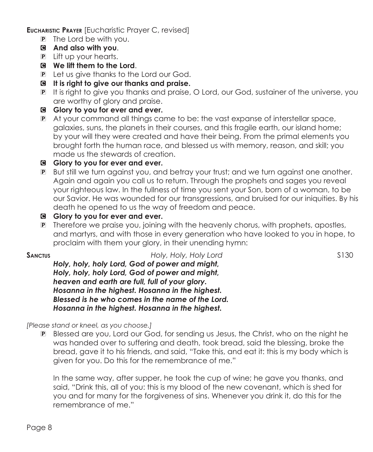**Eucharistic Prayer** [Eucharistic Prayer C, revised]

- P The Lord be with you.
- C **And also with you**.
- P Lift up your hearts.
- C **We lift them to the Lord**.
- P Let us give thanks to the Lord our God.
- C **It is right to give our thanks and praise.**
- P It is right to give you thanks and praise, O Lord, our God, sustainer of the universe, you are worthy of glory and praise.
- G Glory to you for ever and ever.
- P At your command all things came to be: the vast expanse of interstellar space, galaxies, suns, the planets in their courses, and this fragile earth, our island home; by your will they were created and have their being. From the primal elements you brought forth the human race, and blessed us with memory, reason, and skill; you made us the stewards of creation.

## C **Glory to you for ever and ever.**

P But still we turn against you, and betray your trust; and we turn against one another. Again and again you call us to return. Through the prophets and sages you reveal your righteous law. In the fullness of time you sent your Son, born of a woman, to be our Savior. He was wounded for our transgressions, and bruised for our iniquities. By his death he opened to us the way of freedom and peace.

## G Glory to you for ever and ever.

P Therefore we praise you, joining with the heavenly chorus, with prophets, apostles, and martyrs, and with those in every generation who have looked to you in hope, to proclaim with them your glory, in their unending hymn:

**Sanctus** *Holy, Holy, Holy Lord* S130 *Holy, holy, holy Lord, God of power and might, Holy, holy, holy Lord, God of power and might, heaven and earth are full, full of your glory. Hosanna in the highest. Hosanna in the highest. Blessed is he who comes in the name of the Lord. Hosanna in the highest. Hosanna in the highest.*

*[Please stand or kneel, as you choose.]*

P Blessed are you, Lord our God, for sending us Jesus, the Christ, who on the night he was handed over to suffering and death, took bread, said the blessing, broke the bread, gave it to his friends, and said, "Take this, and eat it: this is my body which is given for you. Do this for the remembrance of me."

 In the same way, after supper, he took the cup of wine; he gave you thanks, and said, "Drink this, all of you: this is my blood of the new covenant, which is shed for you and for many for the forgiveness of sins. Whenever you drink it, do this for the remembrance of me."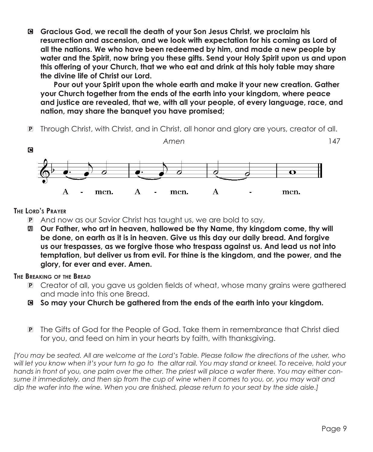C **Gracious God, we recall the death of your Son Jesus Christ, we proclaim his resurrection and ascension, and we look with expectation for his coming as Lord of all the nations. We who have been redeemed by him, and made a new people by water and the Spirit, now bring you these gifts. Send your Holy Spirit upon us and upon this offering of your Church, that we who eat and drink at this holy table may share the divine life of Christ our Lord.**

 **Pour out your Spirit upon the whole earth and make it your new creation. Gather your Church together from the ends of the earth into your kingdom, where peace and justice are revealed, that we, with all your people, of every language, race, and nation, may share the banquet you have promised;**

P Through Christ, with Christ, and in Christ, all honor and glory are yours, creator of all.



**The Lord's Prayer**

- P And now as our Savior Christ has taught us, we are bold to say,
- a **Our Father, who art in heaven, hallowed be thy Name, thy kingdom come, thy will be done, on earth as it is in heaven. Give us this day our daily bread. And forgive us our trespasses, as we forgive those who trespass against us. And lead us not into temptation, but deliver us from evil. For thine is the kingdom, and the power, and the glory, for ever and ever. Amen.**

**The Breaking of the Bread**

- P Creator of all, you gave us golden fields of wheat, whose many grains were gathered and made into this one Bread.
- C **So may your Church be gathered from the ends of the earth into your kingdom.**
- P The Gifts of God for the People of God. Take them in remembrance that Christ died for you, and feed on him in your hearts by faith, with thanksgiving.

*[You may be seated. All are welcome at the Lord's Table. Please follow the directions of the usher, who*  will let you know when it's your turn to go to the altar rail. You may stand or kneel. To receive, hold your *hands in front of you, one palm over the other. The priest will place a wafer there. You may either consume it immediately, and then sip from the cup of wine when it comes to you, or, you may wait and dip the wafer into the wine. When you are finished, please return to your seat by the side aisle.]*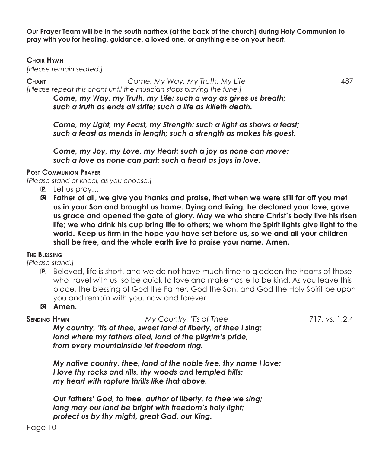**Our Prayer Team will be in the south narthex (at the back of the church) during Holy Communion to pray with you for healing, guidance, a loved one, or anything else on your heart.** 

### **Choir Hymn**

*[Please remain seated.]*

**Chant** *Come, My Way, My Truth, My Life* 487 *[Please repeat this chant until the musician stops playing the tune.]*

*Come, my Way, my Truth, my Life: such a way as gives us breath; such a truth as ends all strife; such a life as killeth death.*

*Come, my Light, my Feast, my Strength: such a light as shows a feast; such a feast as mends in length; such a strength as makes his guest.*

*Come, my Joy, my Love, my Heart: such a joy as none can move; such a love as none can part; such a heart as joys in love.*

## **Post Communion Prayer**

*[Please stand or kneel, as you choose.]*

- P Let us pray…
- C **Father of all, we give you thanks and praise, that when we were still far off you met us in your Son and brought us home. Dying and living, he declared your love, gave us grace and opened the gate of glory. May we who share Christ's body live his risen life; we who drink his cup bring life to others; we whom the Spirit lights give light to the world. Keep us firm in the hope you have set before us, so we and all your children shall be free, and the whole earth live to praise your name. Amen.**

## **The Blessing**

*[Please stand.]*

P Beloved, life is short, and we do not have much time to gladden the hearts of those who travel with us, so be quick to love and make haste to be kind. As you leave this place, the blessing of God the Father, God the Son, and God the Holy Spirit be upon you and remain with you, now and forever.

## C **Amen.**

**SENDING HYMN** *My Country, 'Tis of Thee* **717, vs. 1,2,4** *My country, 'tis of thee, sweet land of liberty, of thee I sing; land where my fathers died, land of the pilgrim's pride, from every mountainside let freedom ring.*

*My native country, thee, land of the noble free, thy name I love; I love thy rocks and rills, thy woods and templed hills; my heart with rapture thrills like that above.*

*Our fathers' God, to thee, author of liberty, to thee we sing; long may our land be bright with freedom's holy light; protect us by thy might, great God, our King.*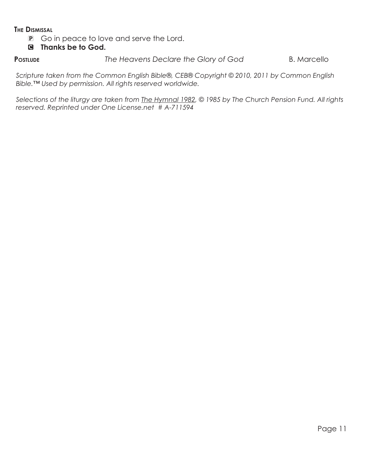### **The Dismissal**

P Go in peace to love and serve the Lord.

## C **Thanks be to God.**

**PostLUDE** *The Heavens Declare the Glory of God* B. Marcello

 *Scripture taken from the Common English Bible®, CEB® Copyright © 2010, 2011 by Common English Bible.™ Used by permission. All rights reserved worldwide.*

 *Selections of the liturgy are taken from The Hymnal 1982, © 1985 by The Church Pension Fund. All rights reserved. Reprinted under One License.net # A-711594*